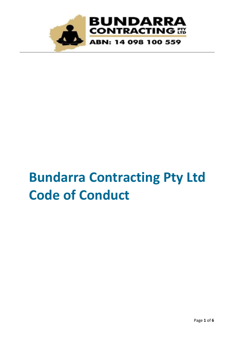

# **Bundarra Contracting Pty Ltd Code of Conduct**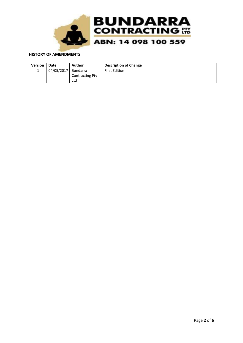

### **HISTORY OF AMENDMENTS**

| <b>Version</b> | Date       | Author                 | <b>Description of Change</b> |
|----------------|------------|------------------------|------------------------------|
|                | 04/05/2017 | Bundarra               | <b>First Edition</b>         |
|                |            | <b>Contracting Pty</b> |                              |
|                |            | Ltd                    |                              |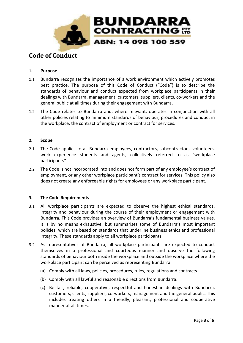

# **Code of Conduct**

# **1. Purpose**

- 1.1 Bundarra recognises the importance of a work environment which actively promotes best practice. The purpose of this Code of Conduct ("Code") is to describe the standards of behaviour and conduct expected from workplace participants in their dealings with Bundarra, management, customers, suppliers, clients, co-workers and the general public at all times during their engagement with Bundarra.
- 1.2 The Code relates to Bundarra and, where relevant, operates in conjunction with all other policies relating to minimum standards of behaviour, procedures and conduct in the workplace, the contract of employment or contract for services.

# **2. Scope**

- 2.1 The Code applies to all Bundarra employees, contractors, subcontractors, volunteers, work experience students and agents, collectively referred to as "workplace participants".
- 2.2 The Code is not incorporated into and does not form part of any employee's contract of employment, or any other workplace participant's contract for services. This policy also does not create any enforceable rights for employees or any workplace participant.

# **3. The Code Requirements**

- 3.1 All workplace participants are expected to observe the highest ethical standards, integrity and behaviour during the course of their employment or engagement with Bundarra. This Code provides an overview of Bundarra's fundamental business values. It is by no means exhaustive, but summarises some of Bundarra's most important policies, which are based on standards that underline business ethics and professional integrity. These standards apply to all workplace participants.
- 3.2 As representatives of Bundarra, all workplace participants are expected to conduct themselves in a professional and courteous manner and observe the following standards of behaviour both inside the workplace and outside the workplace where the workplace participant can be perceived as representing Bundarra:
	- (a) Comply with all laws, policies, procedures, rules, regulations and contracts.
	- (b) Comply with all lawful and reasonable directions from Bundarra.
	- (c) Be fair, reliable, cooperative, respectful and honest in dealings with Bundarra, customers, clients, suppliers, co-workers, management and the general public. This includes treating others in a friendly, pleasant, professional and cooperative manner at all times.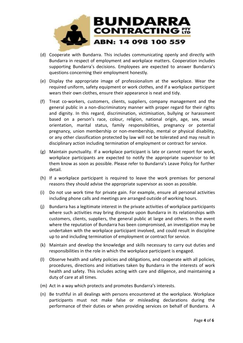

- (d) Cooperate with Bundarra. This includes communicating openly and directly with Bundarra in respect of employment and workplace matters. Cooperation includes supporting Bundarra's decisions. Employees are expected to answer Bundarra's questions concerning their employment honestly.
- (e) Display the appropriate image of professionalism at the workplace. Wear the required uniform, safety equipment or work clothes, and if a workplace participant wears their own clothes, ensure their appearance is neat and tidy.
- (f) Treat co-workers, customers, clients, suppliers, company management and the general public in a non-discriminatory manner with proper regard for their rights and dignity. In this regard, discrimination, victimisation, bullying or harassment based on a person's race, colour, religion, national origin, age, sex, sexual orientation, marital status, family responsibilities, pregnancy or potential pregnancy, union membership or non-membership, mental or physical disability, or any other classification protected by law will not be tolerated and may result in disciplinary action including termination of employment or contract for service.
- (g) Maintain punctuality. If a workplace participant is late or cannot report for work, workplace participants are expected to notify the appropriate supervisor to let them know as soon as possible. Please refer to Bundarra's Leave Policy for further detail.
- (h) If a workplace participant is required to leave the work premises for personal reasons they should advise the appropriate supervisor as soon as possible.
- (i) Do not use work time for private gain. For example, ensure all personal activities including phone calls and meetings are arranged outside of working hours.
- (j) Bundarra has a legitimate interest in the private activities of workplace participants where such activities may bring disrepute upon Bundarra in its relationships with customers, clients, suppliers, the general public at large and others. In the event where the reputation of Bundarra has been compromised, an investigation may be undertaken with the workplace participant involved, and could result in discipline up to and including termination of employment or contract for service.
- (k) Maintain and develop the knowledge and skills necessary to carry out duties and responsibilities in the role in which the workplace participant is engaged.
- (l) Observe health and safety policies and obligations, and cooperate with all policies, procedures, directions and initiatives taken by Bundarra in the interests of work health and safety. This includes acting with care and diligence, and maintaining a duty of care at all times.
- (m) Act in a way which protects and promotes Bundarra's interests.
- (n) Be truthful in all dealings with persons encountered at the workplace. Workplace participants must not make false or misleading declarations during the performance of their duties or when providing services on behalf of Bundarra. A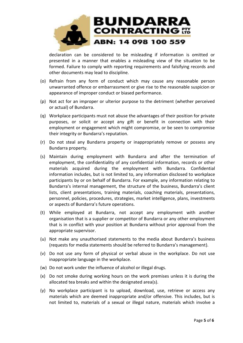

declaration can be considered to be misleading if information is omitted or presented in a manner that enables a misleading view of the situation to be formed. Failure to comply with reporting requirements and falsifying records and other documents may lead to discipline.

- (o) Refrain from any form of conduct which may cause any reasonable person unwarranted offence or embarrassment or give rise to the reasonable suspicion or appearance of improper conduct or biased performance.
- (p) Not act for an improper or ulterior purpose to the detriment (whether perceived or actual) of Bundarra.
- (q) Workplace participants must not abuse the advantages of their position for private purposes, or solicit or accept any gift or benefit in connection with their employment or engagement which might compromise, or be seen to compromise their integrity or Bundarra's reputation.
- (r) Do not steal any Bundarra property or inappropriately remove or possess any Bundarra property.
- (s) Maintain during employment with Bundarra and after the termination of employment, the confidentiality of any confidential information, records or other materials acquired during the employment with Bundarra. Confidential information includes, but is not limited to, any information disclosed to workplace participants by or on behalf of Bundarra. For example, any information relating to Bundarra's internal management, the structure of the business, Bundarra's client lists, client presentations, training materials, coaching materials, presentations, personnel, policies, procedures, strategies, market intelligence, plans, investments or aspects of Bundarra's future operations.
- (t) While employed at Bundarra, not accept any employment with another organisation that is a supplier or competitor of Bundarra or any other employment that is in conflict with your position at Bundarra without prior approval from the appropriate supervisor.
- (u) Not make any unauthorised statements to the media about Bundarra's business (requests for media statements should be referred to Bundarra's management).
- (v) Do not use any form of physical or verbal abuse in the workplace. Do not use inappropriate language in the workplace.
- (w) Do not work under the influence of alcohol or illegal drugs.
- (x) Do not smoke during working hours on the work premises unless it is during the allocated tea breaks and within the designated area(s).
- (y) No workplace participant is to upload, download, use, retrieve or access any materials which are deemed inappropriate and/or offensive. This includes, but is not limited to, materials of a sexual or illegal nature, materials which involve a